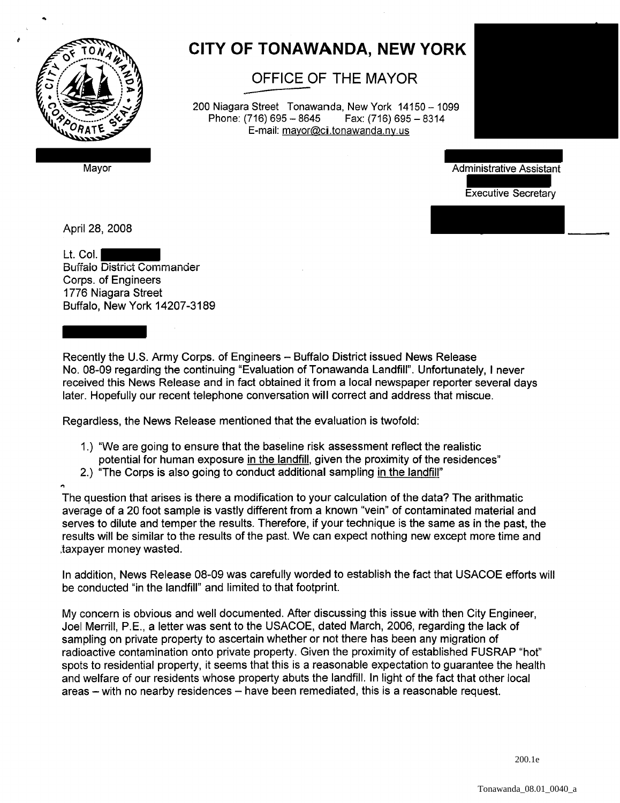

..

## **CITY OF TONAWANDA, NEW YORK**

**OFFICE OF THE MAYOR** 

200 Niagara Street Tonawanda, New York 14150 - 1099<br>Phone: (716) 695 - 8645 Fax: (716) 695 - 8314 Phone: (716) 695 - 8645 E-mail: mayor@ci.tonawanda.ny.us



Mayor **Mayor** Administrative Assistant Administrative Assistant Administrative Assistant

Executive Secretary

April 28, 2008

...

Lt. Col. Buffalo District Commander Corps. of Engineers 1776 Niagara Street Buffalo, New York 14207-3189

Recently the U.S. Army Corps. of Engineers - Buffalo District issued News Release No. 08-09 regarding the continuing "Evaluation of Tonawanda Landfill". Unfortunately, I never received this News Release and in fact obtained it from a local newspaper reporter several days later. Hopefully our recent telephone conversation will correct and address that miscue.

Regardless, the News Release mentioned that the evaluation is twofold:

- 1.) "We are going to ensure that the baseline risk assessment reflect the realistic potential for human exposure in the landfill, given the proximity of the residences"
- 2.) "The Corps is also going to conduct additional sampling in the landfill"

The question that arises is there a modification to your calculation of the data? The arithmatic average of a 20 foot sample is vastly different from a known "vein" of contaminated material and serves to dilute and temper the results. Therefore, if your technique is the same as in the past, the results will be similar to the results of the past. We can expect nothing new except more time and .taxpayer money wasted.

In addition, News Release 08-09 was carefully worded to establish the fact that USACOE efforts will be conducted "in the landfill" and limited to that footprint.

My concern is obvious and well documented. After discussing this issue with then City Engineer, Joel Merrill, P.E., a letter was sent to the USACOE, dated March, 2006, regarding the lack of sampling on private property to ascertain whether or not there has been any migration of radioactive contamination onto private property. Given the proximity of established FUSRAP "hot" spots to residential property, it seems that this is a reasonable expectation to guarantee the health and welfare of our residents whose property abuts the landfill. In light of the fact that other local areas  $-$  with no nearby residences  $-$  have been remediated, this is a reasonable request.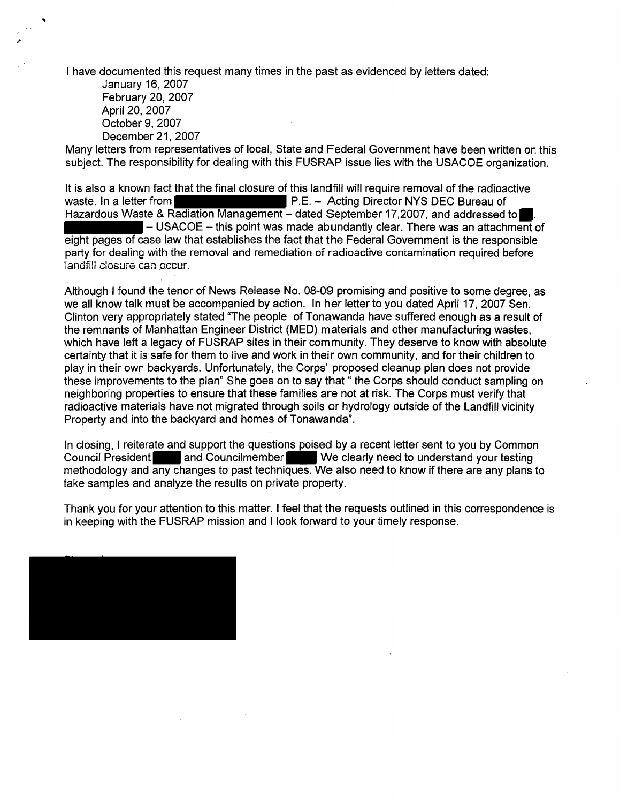I have documented this request many times in the past as evidenced by letters dated:

January 16, 2007 February 20, 2007 April 20, 2007 October 9,2007 December 21, 2007

Many letters from representatives of local, State and Federal Government have been written on this subject. The responsibility for dealing with this FUSRAP issue lies with the USACOE organization.

It is also a known fact that the final closure of this landfill will require removal of the radioactive waste. In a letter from **P.E.** - Acting Director NYS DEC Bureau of Hazardous Waste & Radiation Management - dated September 17,2007, and addressed to  $\blacksquare$  - USACOE - this point was made abundantly clear. There was an attachment of eight pages of case law that establishes the fact that the Federal Government is the responsible party for dealing with the removal and remediation of radioactive contamination required before landfill closure can occur.

Although I found the tenor of News Release No. 08-09 promising and positive to some degree, as we all know talk must be accompanied by action. In her letter to you dated April 17, 2007 Sen. Clinton very appropriately stated "The people of Tonawanda have suffered enough as a result of the remnants of Manhattan Engineer District (MED) materials and other manufacturing wastes, which have left a legacy of FUSRAP sites in their community. They deserve to know with absolute certainty that it is safe for them to live and work in their own community, and for their children to play in their own backyards. Unfortunately, the Corps' proposed cleanup plan does not provide these improvements to the plan" She goes on to say that" the Corps should conduct sampling on neighboring properties to ensure that these families are not at risk. The Corps must verify that radioactive materials have not migrated through soils or hydrology outside of the Landfill vicinity Property and into the backyard and homes of Tonawanda".

In closing, I reiterate and support the questions poised by a recent letter sent to you by Common Council President and Councilmember We clearly need to understand your testing methodology and any changes to past techniques. We also need to know if there are any plans to take samples and analyze the results on private property.

Thank you for your attention to this matter. I feel that the requests outlined in this correspondence is in keeping with the FUSRAP mission and I look forward to your timely response.